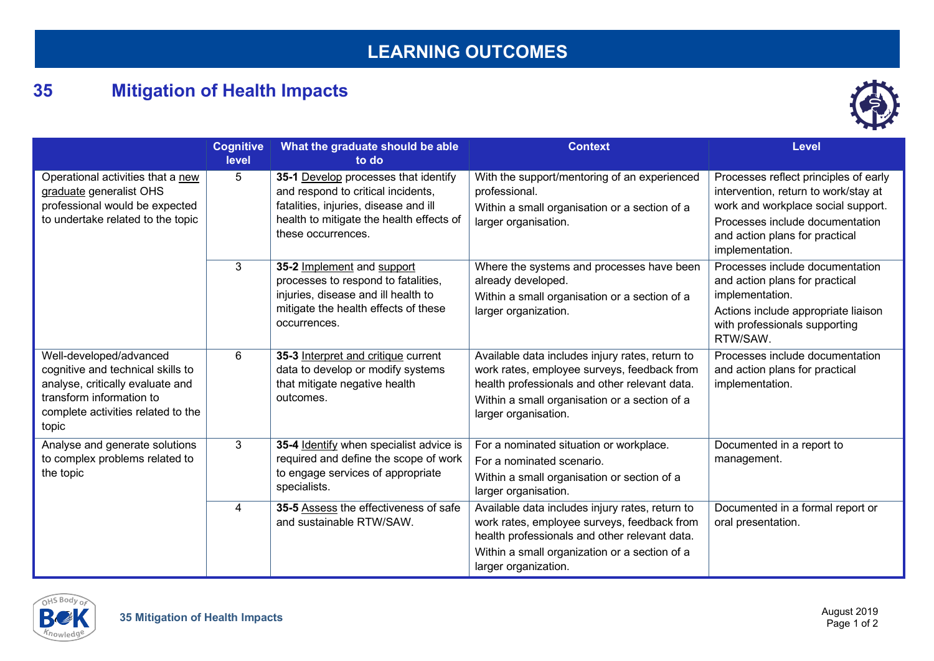## **LEARNING OUTCOMES**

## **35 Mitigation of Health Impacts**



|                                                                                                                                                                             | <b>Cognitive</b><br>level | What the graduate should be able<br>to do                                                                                                                                             | <b>Context</b>                                                                                                                                                                                                           | <b>Level</b>                                                                                                                                                                                                |
|-----------------------------------------------------------------------------------------------------------------------------------------------------------------------------|---------------------------|---------------------------------------------------------------------------------------------------------------------------------------------------------------------------------------|--------------------------------------------------------------------------------------------------------------------------------------------------------------------------------------------------------------------------|-------------------------------------------------------------------------------------------------------------------------------------------------------------------------------------------------------------|
| Operational activities that a new<br>graduate generalist OHS<br>professional would be expected<br>to undertake related to the topic                                         | $5\phantom{.0}$           | 35-1 Develop processes that identify<br>and respond to critical incidents,<br>fatalities, injuries, disease and ill<br>health to mitigate the health effects of<br>these occurrences. | With the support/mentoring of an experienced<br>professional.<br>Within a small organisation or a section of a<br>larger organisation.                                                                                   | Processes reflect principles of early<br>intervention, return to work/stay at<br>work and workplace social support.<br>Processes include documentation<br>and action plans for practical<br>implementation. |
|                                                                                                                                                                             | 3                         | 35-2 Implement and support<br>processes to respond to fatalities,<br>injuries, disease and ill health to<br>mitigate the health effects of these<br>occurrences.                      | Where the systems and processes have been<br>already developed.<br>Within a small organisation or a section of a<br>larger organization.                                                                                 | Processes include documentation<br>and action plans for practical<br>implementation.<br>Actions include appropriate liaison<br>with professionals supporting<br>RTW/SAW.                                    |
| Well-developed/advanced<br>cognitive and technical skills to<br>analyse, critically evaluate and<br>transform information to<br>complete activities related to the<br>topic | 6                         | 35-3 Interpret and critique current<br>data to develop or modify systems<br>that mitigate negative health<br>outcomes.                                                                | Available data includes injury rates, return to<br>work rates, employee surveys, feedback from<br>health professionals and other relevant data.<br>Within a small organisation or a section of a<br>larger organisation. | Processes include documentation<br>and action plans for practical<br>implementation.                                                                                                                        |
| Analyse and generate solutions<br>to complex problems related to<br>the topic                                                                                               | 3                         | 35-4 Identify when specialist advice is<br>required and define the scope of work<br>to engage services of appropriate<br>specialists.                                                 | For a nominated situation or workplace.<br>For a nominated scenario.<br>Within a small organisation or section of a<br>larger organisation.                                                                              | Documented in a report to<br>management.                                                                                                                                                                    |
|                                                                                                                                                                             | 4                         | 35-5 Assess the effectiveness of safe<br>and sustainable RTW/SAW.                                                                                                                     | Available data includes injury rates, return to<br>work rates, employee surveys, feedback from<br>health professionals and other relevant data.<br>Within a small organization or a section of a<br>larger organization. | Documented in a formal report or<br>oral presentation.                                                                                                                                                      |